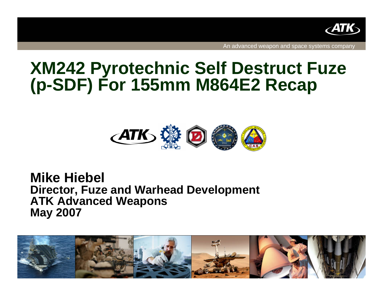

An advanced weapon and space systems company

# **XM242 Pyrotechnic Self Destruct Fuze (p-SDF) For 155mm M864E2 Recap**



**Mike Hiebel Director, Fuze and Warhead Development ATK Advanced Weapons May 2007**

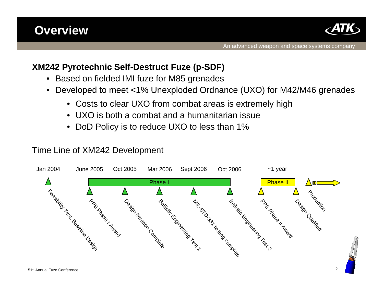### **Overview**



#### **XM242 Pyrotechnic Self-Destruct Fuze (p-SDF)**

- •Based on fielded IMI fuze for M85 grenades
- $\bullet$  Developed to meet <1% Unexploded Ordnance (UXO) for M42/M46 grenades
	- Costs to clear UXO from combat areas is extremely high
	- UXO is both a combat and a humanitarian issue
	- •DoD Policy is to reduce UXO to less than 1%

#### Time Line of XM242 Development

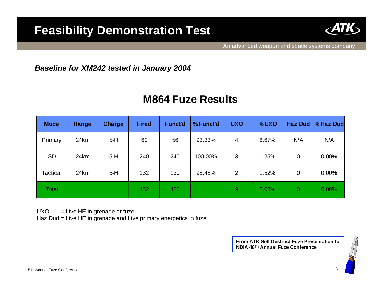### **Feasibility Demonstration Test**



#### *Baseline for XM242 tested in January 2004*

### **M864 Fuze Results**

| <b>Mode</b>  | Range | <b>Charge</b> | <b>Fired</b> | <b>Funct'd</b> | % Funct'd | <b>UXO</b> | %UXO  | <b>Haz Dud</b> | <b>% Haz Dud</b> |
|--------------|-------|---------------|--------------|----------------|-----------|------------|-------|----------------|------------------|
| Primary      | 24km  | $5-H$         | 60           | 56             | 93.33%    | 4          | 6.67% | N/A            | N/A              |
| <b>SD</b>    | 24km  | $5-H$         | 240          | 240            | 100.00%   | 3          | 1.25% | $\mathbf 0$    | $0.00\%$         |
| Tactical     | 24km  | $5-H$         | 132          | 130            | 98.48%    | 2          | 1.52% | 0              | 0.00%            |
| <b>Total</b> |       |               | 432          | 426            |           | 9          | 2.08% | $\overline{0}$ | 0.00%            |

 $UXO = Live HE$  in grenade or fuze

Haz Dud = Live HE in grenade and Live primary energetics in fuze

**From ATK Self Destruct Fuze Presentation to NDIA 48Th Annual Fuze Conference**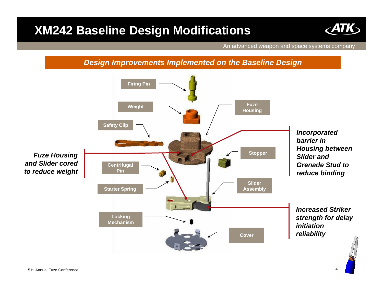### **XM242 Baseline Design Modifications**



An advanced weapon and space systems company

#### *Design Improvements Implemented on the Baseline Design*



51st Annual Fuze Conference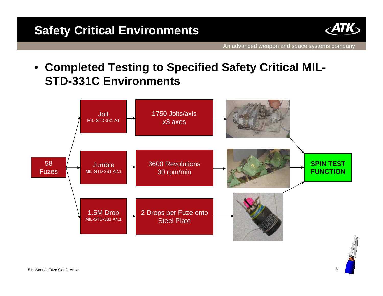

• **Completed Testing to Specified Safety Critical MIL-STD-331C Environments**

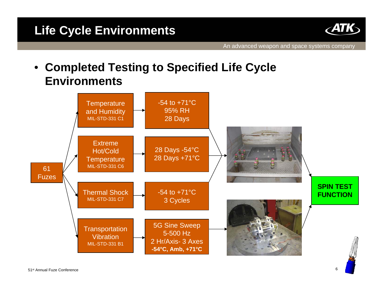

• **Completed Testing to Specified Life Cycle Environments**

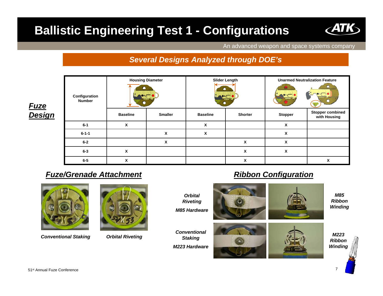## **Ballistic Engineering Test 1 - Configurations**



#### *Several Designs Analyzed through DOE's*

| <u>Fuze</u>   | Configuration<br><b>Number</b> | <b>Housing Diameter</b> |                | <b>Slider Length</b><br>m<br>$\bullet$ |                | <b>Unarmed Neutralization Feature</b> |                                         |
|---------------|--------------------------------|-------------------------|----------------|----------------------------------------|----------------|---------------------------------------|-----------------------------------------|
| <b>Design</b> |                                | <b>Baseline</b>         | <b>Smaller</b> | <b>Baseline</b>                        | <b>Shorter</b> | <b>Stopper</b>                        | <b>Stopper combined</b><br>with Housing |
|               | $6-1$                          | X                       |                | x                                      |                | X                                     |                                         |
|               | $6 - 1 - 1$                    |                         | X              | X                                      |                | X                                     |                                         |
|               | $6 - 2$                        |                         | X              |                                        | X              | X                                     |                                         |
|               | $6 - 3$                        | X                       |                |                                        | χ              | X                                     |                                         |
|               | $6-5$                          | X                       |                |                                        | X              |                                       | X                                       |

#### *Fuze/Grenade Attachment*



*Conventional Staking Orbital Riveting*



#### *Ribbon Configuration*



*Winding*

*Ribbon Winding*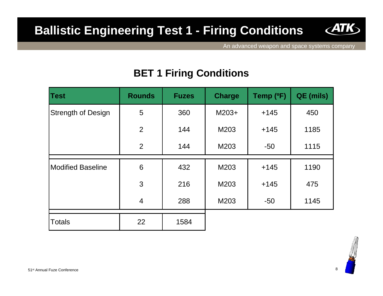### **Ballistic Engineering Test 1 - Firing Conditions**



An advanced weapon and space systems company

### **BET 1 Firing Conditions**

| <b>Test</b>               | <b>Rounds</b>  | <b>Fuzes</b> | <b>Charge</b> | Temp (°F) | QE (mils) |
|---------------------------|----------------|--------------|---------------|-----------|-----------|
| <b>Strength of Design</b> | 5              | 360          | $M203+$       | $+145$    | 450       |
|                           | $\overline{2}$ | 144          | M203          | $+145$    | 1185      |
|                           | $\overline{2}$ | 144          | M203          | $-50$     | 1115      |
| <b>Modified Baseline</b>  | 6              | 432          | M203          | $+145$    | 1190      |
|                           |                |              |               |           |           |
|                           | 3              | 216          | M203          | $+145$    | 475       |
|                           | $\overline{4}$ | 288          | M203          | $-50$     | 1145      |
|                           |                |              |               |           |           |
| <b>Totals</b>             | 22             | 1584         |               |           |           |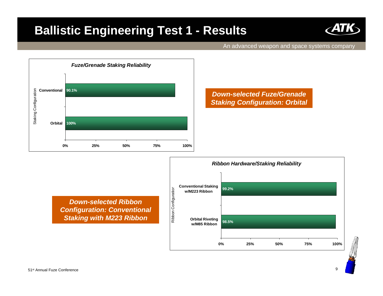### **Ballistic Engineering Test 1 - Results**



An advanced weapon and space systems company



*Down-selected Fuze/Grenade Staking Configuration: Orbital*

*Down-selected Ribbon Configuration: Conventional Staking with M223 Ribbon*

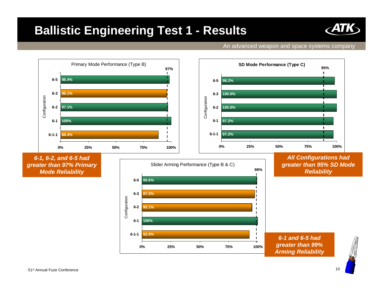### **Ballistic Engineering Test 1 - Results**

#### An advanced weapon and space systems company

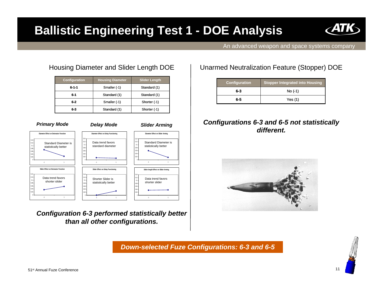### **Ballistic Engineering Test 1 - DOE Analysis**



An advanced weapon and space systems company

#### Housing Diameter and Slider Length DOE

| <b>Configuration</b> | <b>Housing Diameter</b> | <b>Slider Length</b> |  |
|----------------------|-------------------------|----------------------|--|
| $6 - 1 - 1$          | Smaller (-1)            | Standard (1)         |  |
| $6 - 1$              | Standard (1)            | Standard (1)         |  |
| $6 - 2$              | Smaller (-1)            | Shorter (-1)         |  |
| 6-3                  | Standard (1)            | Shorter (-1)         |  |



*Configuration 6-3 performed statistically better than all other configurations.*

#### Unarmed Neutralization Feature (Stopper) DOE

| <b>Configuration</b> | <b>Stopper Integrated into Housing</b> |  |  |  |
|----------------------|----------------------------------------|--|--|--|
| 6-3                  | $No(-1)$                               |  |  |  |
| 6-5                  | Yes (1)                                |  |  |  |

#### *Configurations 6-3 and 6-5 not statistically different.*



*Down-selected Fuze Configurations: 6-3 and 6-5*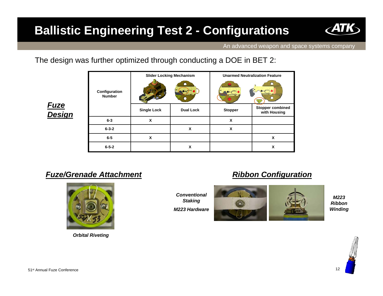## **Ballistic Engineering Test 2 - Configurations**



An advanced weapon and space systems company

The design was further optimized through conducting a DOE in BET 2:

|                                | <b>Slider Locking Mechanism</b> |                  | <b>Unarmed Neutralization Feature</b> |                                         |  |
|--------------------------------|---------------------------------|------------------|---------------------------------------|-----------------------------------------|--|
| Configuration<br><b>Number</b> |                                 |                  |                                       |                                         |  |
|                                | <b>Single Lock</b>              | <b>Dual Lock</b> | <b>Stopper</b>                        | <b>Stopper combined</b><br>with Housing |  |
| $6 - 3$                        | X                               |                  | X                                     |                                         |  |
| $6 - 3 - 2$                    |                                 | X                | X                                     |                                         |  |
| $6-5$                          | X                               |                  |                                       | X                                       |  |
| $6 - 5 - 2$                    |                                 | X                |                                       | x                                       |  |

*Fuze Design*

#### *Fuze/Grenade Attachment*



*Orbital Riveting*

*Conventional Staking M223 Hardware*

#### *Ribbon Configuration*



*M223 Ribbon Winding*

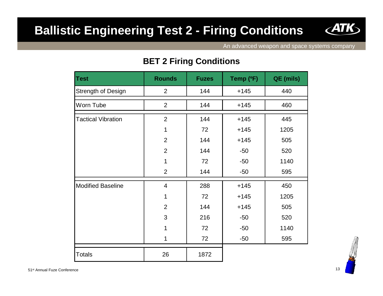### **Ballistic Engineering Test 2 - Firing Conditions**



An advanced weapon and space systems company

#### **BET 2 Firing Conditions**

| <b>Test</b>               | <b>Rounds</b>  | <b>Fuzes</b> | Temp (°F) | QE (mils) |
|---------------------------|----------------|--------------|-----------|-----------|
| Strength of Design        | 2              | 144          | $+145$    | 440       |
| Worn Tube                 | 2              | 144          | $+145$    | 460       |
| <b>Tactical Vibration</b> | $\overline{2}$ | 144          | $+145$    | 445       |
|                           | 1              | 72           | $+145$    | 1205      |
|                           | $\overline{2}$ | 144          | $+145$    | 505       |
|                           | $\overline{2}$ | 144          | $-50$     | 520       |
|                           | 1              | 72           | $-50$     | 1140      |
|                           | $\overline{2}$ | 144          | $-50$     | 595       |
| <b>Modified Baseline</b>  | 4              | 288          | $+145$    | 450       |
|                           | 1              | 72           | $+145$    | 1205      |
|                           | $\overline{2}$ | 144          | $+145$    | 505       |
|                           | 3              | 216          | $-50$     | 520       |
|                           | 1              | 72           | $-50$     | 1140      |
|                           | 1              | 72           | $-50$     | 595       |
| <b>Totals</b>             | 26             | 1872         |           |           |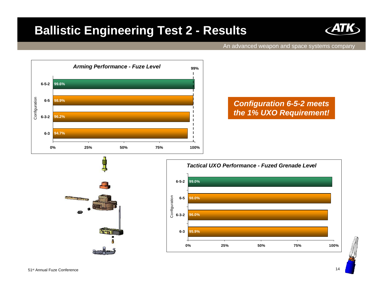### **Ballistic Engineering Test 2 - Results**



#### An advanced weapon and space systems company



#### *Configuration 6-5-2 meets the 1% UXO Requirement!*



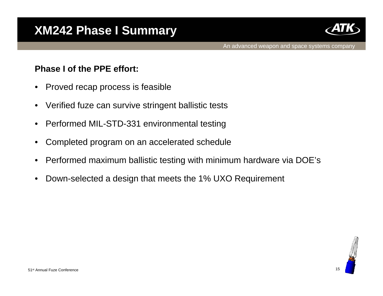

#### **Phase I of the PPE effort:**

- •Proved recap process is feasible
- •Verified fuze can survive stringent ballistic tests
- •Performed MIL-STD-331 environmental testing
- •Completed program on an accelerated schedule
- •Performed maximum ballistic testing with minimum hardware via DOE's
- •Down-selected a design that meets the 1% UXO Requirement

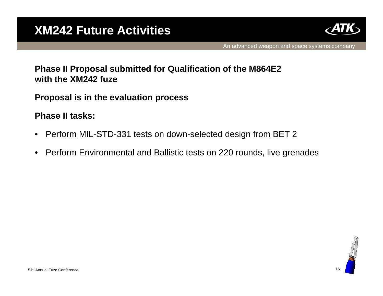

#### **Phase II Proposal submitted for Qualification of the M864E2 with the XM242 fuze**

**Proposal is in the evaluation process**

**Phase II tasks:**

- •Perform MIL-STD-331 tests on down-selected design from BET 2
- •Perform Environmental and Ballistic tests on 220 rounds, live grenades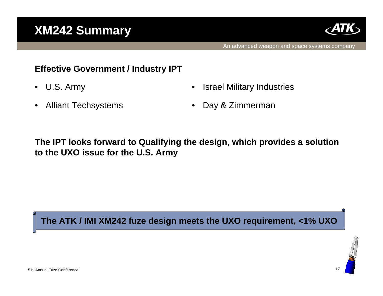### **XM242 Summary**



#### **Effective Government / Industry IPT**

•U.S. Army •Israel Military Industries

•Alliant Techsystems •Day & Zimmerman

### **The IPT looks forward to Qualifying the design, which provides a solution to the UXO issue for the U.S. Army**

**The ATK / IMI XM242 fuze design meets the UXO requirement, <1% UXO**